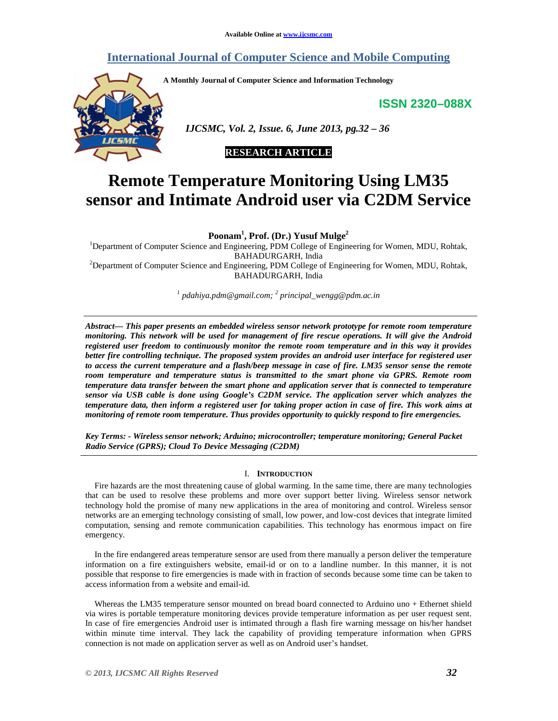## **International Journal of Computer Science and Mobile Computing**

**A Monthly Journal of Computer Science and Information Technology** 

**ISSN 2320–088X**



 *IJCSMC, Vol. 2, Issue. 6, June 2013, pg.32 – 36* 

## **RESEARCH ARTICLE**

# **Remote Temperature Monitoring Using LM35 sensor and Intimate Android user via C2DM Service**

**Poonam<sup>1</sup> , Prof. (Dr.) Yusuf Mulge<sup>2</sup>**

<sup>1</sup>Department of Computer Science and Engineering, PDM College of Engineering for Women, MDU, Rohtak, BAHADURGARH, India <sup>2</sup>Department of Computer Science and Engineering, PDM College of Engineering for Women, MDU, Rohtak, BAHADURGARH, India

*1 pdahiya.pdm@gmail.com; <sup>2</sup> principal\_wengg@pdm.ac.in*

*Abstract— This paper presents an embedded wireless sensor network prototype for remote room temperature monitoring. This network will be used for management of fire rescue operations. It will give the Android registered user freedom to continuously monitor the remote room temperature and in this way it provides better fire controlling technique. The proposed system provides an android user interface for registered user to access the current temperature and a flash/beep message in case of fire. LM35 sensor sense the remote room temperature and temperature status is transmitted to the smart phone via GPRS. Remote room temperature data transfer between the smart phone and application server that is connected to temperature sensor via USB cable is done using Google's C2DM service. The application server which analyzes the temperature data, then inform a registered user for taking proper action in case of fire. This work aims at monitoring of remote room temperature. Thus provides opportunity to quickly respond to fire emergencies.* 

*Key Terms: - Wireless sensor network; Arduino; microcontroller; temperature monitoring; General Packet Radio Service (GPRS); Cloud To Device Messaging (C2DM)* 

### I. **INTRODUCTION**

Fire hazards are the most threatening cause of global warming. In the same time, there are many technologies that can be used to resolve these problems and more over support better living. Wireless sensor network technology hold the promise of many new applications in the area of monitoring and control. Wireless sensor networks are an emerging technology consisting of small, low power, and low-cost devices that integrate limited computation, sensing and remote communication capabilities. This technology has enormous impact on fire emergency.

In the fire endangered areas temperature sensor are used from there manually a person deliver the temperature information on a fire extinguishers website, email-id or on to a landline number. In this manner, it is not possible that response to fire emergencies is made with in fraction of seconds because some time can be taken to access information from a website and email-id.

Whereas the LM35 temperature sensor mounted on bread board connected to Arduino uno + Ethernet shield via wires is portable temperature monitoring devices provide temperature information as per user request sent. In case of fire emergencies Android user is intimated through a flash fire warning message on his/her handset within minute time interval. They lack the capability of providing temperature information when GPRS connection is not made on application server as well as on Android user's handset.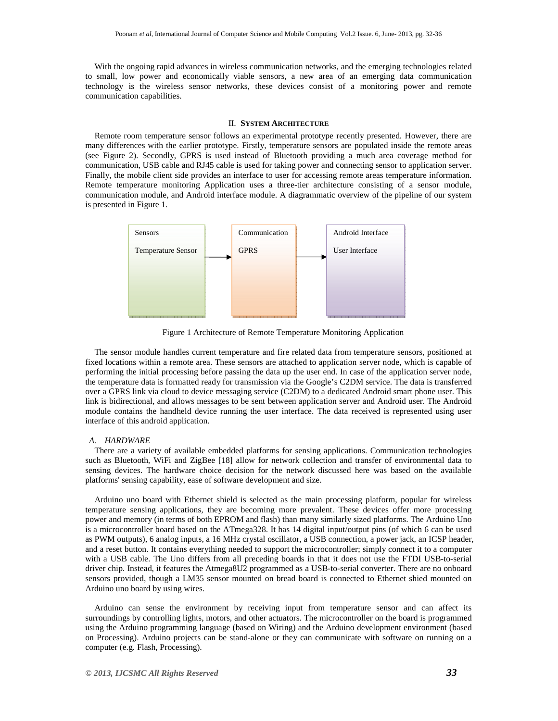With the ongoing rapid advances in wireless communication networks, and the emerging technologies related to small, low power and economically viable sensors, a new area of an emerging data communication technology is the wireless sensor networks, these devices consist of a monitoring power and remote communication capabilities.

#### II. **SYSTEM ARCHITECTURE**

Remote room temperature sensor follows an experimental prototype recently presented. However, there are many differences with the earlier prototype. Firstly, temperature sensors are populated inside the remote areas (see Figure 2). Secondly, GPRS is used instead of Bluetooth providing a much area coverage method for communication, USB cable and RJ45 cable is used for taking power and connecting sensor to application server. Finally, the mobile client side provides an interface to user for accessing remote areas temperature information. Remote temperature monitoring Application uses a three-tier architecture consisting of a sensor module, communication module, and Android interface module. A diagrammatic overview of the pipeline of our system is presented in Figure 1.



Figure 1 Architecture of Remote Temperature Monitoring Application

The sensor module handles current temperature and fire related data from temperature sensors, positioned at fixed locations within a remote area. These sensors are attached to application server node, which is capable of performing the initial processing before passing the data up the user end. In case of the application server node, the temperature data is formatted ready for transmission via the Google's C2DM service. The data is transferred over a GPRS link via cloud to device messaging service (C2DM) to a dedicated Android smart phone user. This link is bidirectional, and allows messages to be sent between application server and Android user. The Android module contains the handheld device running the user interface. The data received is represented using user interface of this android application.

#### *A. HARDWARE*

There are a variety of available embedded platforms for sensing applications. Communication technologies such as Bluetooth, WiFi and ZigBee [18] allow for network collection and transfer of environmental data to sensing devices. The hardware choice decision for the network discussed here was based on the available platforms' sensing capability, ease of software development and size.

Arduino uno board with Ethernet shield is selected as the main processing platform, popular for wireless temperature sensing applications, they are becoming more prevalent. These devices offer more processing power and memory (in terms of both EPROM and flash) than many similarly sized platforms. The Arduino Uno is a microcontroller board based on the ATmega328. It has 14 digital input/output pins (of which 6 can be used as PWM outputs), 6 analog inputs, a 16 MHz crystal oscillator, a USB connection, a power jack, an ICSP header, and a reset button. It contains everything needed to support the microcontroller; simply connect it to a computer with a USB cable. The Uno differs from all preceding boards in that it does not use the FTDI USB-to-serial driver chip. Instead, it features the Atmega8U2 programmed as a USB-to-serial converter. There are no onboard sensors provided, though a LM35 sensor mounted on bread board is connected to Ethernet shied mounted on Arduino uno board by using wires.

Arduino can sense the environment by receiving input from temperature sensor and can affect its surroundings by controlling lights, motors, and other actuators. The microcontroller on the board is programmed using the Arduino programming language (based on Wiring) and the Arduino development environment (based on Processing). Arduino projects can be stand-alone or they can communicate with software on running on a computer (e.g. Flash, Processing).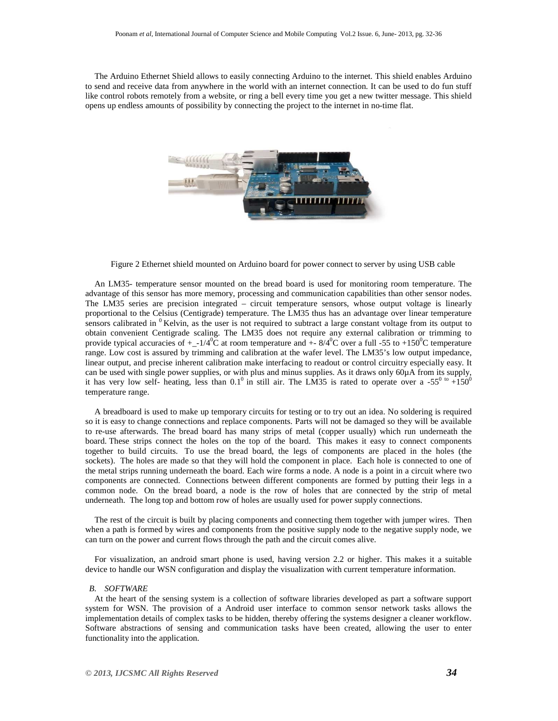The Arduino Ethernet Shield allows to easily connecting Arduino to the internet. This shield enables Arduino to send and receive data from anywhere in the world with an internet connection. It can be used to do fun stuff like control robots remotely from a website, or ring a bell every time you get a new twitter message. This shield opens up endless amounts of possibility by connecting the project to the internet in no-time flat.



Figure 2 Ethernet shield mounted on Arduino board for power connect to server by using USB cable

An LM35- temperature sensor mounted on the bread board is used for monitoring room temperature. The advantage of this sensor has more memory, processing and communication capabilities than other sensor nodes. The LM35 series are precision integrated – circuit temperature sensors, whose output voltage is linearly proportional to the Celsius (Centigrade) temperature. The LM35 thus has an advantage over linear temperature sensors calibrated in  $\rm^{0}$  Kelvin, as the user is not required to subtract a large constant voltage from its output to obtain convenient Centigrade scaling. The LM35 does not require any external calibration or trimming to provide typical accuracies of  $+(-1/40\bar{C})$  at room temperature and  $+8/40\bar{C}$  over a full -55 to +150<sup>0</sup>C temperature range. Low cost is assured by trimming and calibration at the wafer level. The LM35's low output impedance, linear output, and precise inherent calibration make interfacing to readout or control circuitry especially easy. It can be used with single power supplies, or with plus and minus supplies. As it draws only 60µA from its supply, it has very low self- heating, less than 0.1<sup>0</sup> in still air. The LM35 is rated to operate over a -55<sup>0 to</sup> +150<sup>0</sup> temperature range.

A breadboard is used to make up temporary circuits for testing or to try out an idea. No soldering is required so it is easy to change connections and replace components. Parts will not be damaged so they will be available to re-use afterwards. The bread board has many strips of metal (copper usually) which run underneath the board. These strips connect the holes on the top of the board. This makes it easy to connect components together to build circuits. To use the bread board, the legs of components are placed in the holes (the sockets). The holes are made so that they will hold the component in place. Each hole is connected to one of the metal strips running underneath the board. Each wire forms a node. A node is a point in a circuit where two components are connected. Connections between different components are formed by putting their legs in a common node. On the bread board, a node is the row of holes that are connected by the strip of metal underneath. The long top and bottom row of holes are usually used for power supply connections.

The rest of the circuit is built by placing components and connecting them together with jumper wires. Then when a path is formed by wires and components from the positive supply node to the negative supply node, we can turn on the power and current flows through the path and the circuit comes alive.

For visualization, an android smart phone is used, having version 2.2 or higher. This makes it a suitable device to handle our WSN configuration and display the visualization with current temperature information.

#### *B. SOFTWARE*

At the heart of the sensing system is a collection of software libraries developed as part a software support system for WSN. The provision of a Android user interface to common sensor network tasks allows the implementation details of complex tasks to be hidden, thereby offering the systems designer a cleaner workflow. Software abstractions of sensing and communication tasks have been created, allowing the user to enter functionality into the application.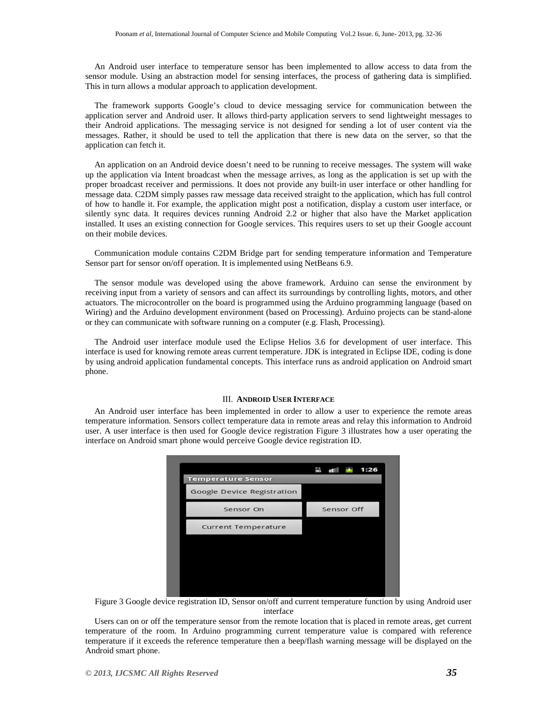An Android user interface to temperature sensor has been implemented to allow access to data from the sensor module. Using an abstraction model for sensing interfaces, the process of gathering data is simplified. This in turn allows a modular approach to application development.

The framework supports Google's cloud to device messaging service for communication between the application server and Android user. It allows third-party application servers to send lightweight messages to their Android applications. The messaging service is not designed for sending a lot of user content via the messages. Rather, it should be used to tell the application that there is new data on the server, so that the application can fetch it.

An application on an Android device doesn't need to be running to receive messages. The system will wake up the application via Intent broadcast when the message arrives, as long as the application is set up with the proper broadcast receiver and permissions. It does not provide any built-in user interface or other handling for message data. C2DM simply passes raw message data received straight to the application, which has full control of how to handle it. For example, the application might post a notification, display a custom user interface, or silently sync data. It requires devices running Android 2.2 or higher that also have the Market application installed. It uses an existing connection for Google services. This requires users to set up their Google account on their mobile devices.

Communication module contains C2DM Bridge part for sending temperature information and Temperature Sensor part for sensor on/off operation. It is implemented using NetBeans 6.9.

The sensor module was developed using the above framework. Arduino can sense the environment by receiving input from a variety of sensors and can affect its surroundings by controlling lights, motors, and other actuators. The microcontroller on the board is programmed using the Arduino programming language (based on Wiring) and the Arduino development environment (based on Processing). Arduino projects can be stand-alone or they can communicate with software running on a computer (e.g. Flash, Processing).

The Android user interface module used the Eclipse Helios 3.6 for development of user interface. This interface is used for knowing remote areas current temperature. JDK is integrated in Eclipse IDE, coding is done by using android application fundamental concepts. This interface runs as android application on Android smart phone.

#### III. **ANDROID USER INTERFACE**

An Android user interface has been implemented in order to allow a user to experience the remote areas temperature information. Sensors collect temperature data in remote areas and relay this information to Android user. A user interface is then used for Google device registration Figure 3 illustrates how a user operating the interface on Android smart phone would perceive Google device registration ID.

|                            | 1:26<br>第 画 |
|----------------------------|-------------|
| <b>Temperature Sensor</b>  |             |
| Google Device Registration |             |
| Sensor On                  | Sensor Off  |
| <b>Current Temperature</b> |             |
|                            |             |
|                            |             |
|                            |             |
|                            |             |

Figure 3 Google device registration ID, Sensor on/off and current temperature function by using Android user interface

Users can on or off the temperature sensor from the remote location that is placed in remote areas, get current temperature of the room. In Arduino programming current temperature value is compared with reference temperature if it exceeds the reference temperature then a beep/flash warning message will be displayed on the Android smart phone.